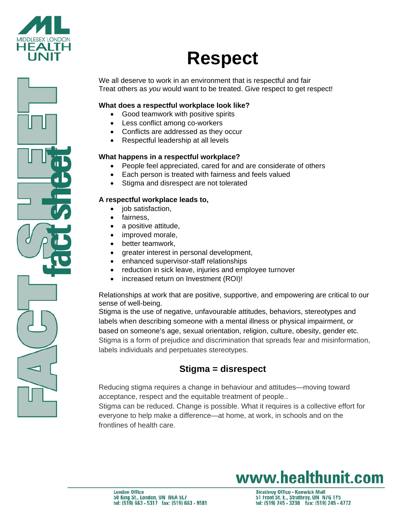

# **Respect**

We all deserve to work in an environment that is respectful and fair Treat others as *you* would want to be treated. Give respect to get respect!

## **What does a respectful workplace look like?**

- Good teamwork with positive spirits
- Less conflict among co-workers
- Conflicts are addressed as they occur
- Respectful leadership at all levels

### **What happens in a respectful workplace?**

- People feel appreciated, cared for and are considerate of others
- Each person is treated with fairness and feels valued
- Stigma and disrespect are not tolerated

### **A respectful workplace leads to,**

- job satisfaction,
- fairness,
- a positive attitude,
- improved morale,
- better teamwork,
- greater interest in personal development,
- enhanced supervisor-staff relationships
- reduction in sick leave, injuries and employee turnover
- increased return on Investment (ROI)!

Relationships at work that are positive, supportive, and empowering are critical to our sense of well-being.

Stigma is the use of negative, unfavourable attitudes, behaviors, stereotypes and labels when describing someone with a mental illness or physical impairment, or based on someone's age, sexual orientation, religion, culture, obesity, gender etc. Stigma is a form of prejudice and discrimination that spreads fear and misinformation, labels individuals and perpetuates stereotypes.

# **Stigma = disrespect**

Reducing stigma requires a change in behaviour and attitudes—moving toward acceptance, respect and the equitable treatment of people..

Stigma can be reduced. Change is possible. What it requires is a collective effort for everyone to help make a difference—at home, at work, in schools and on the frontlines of health care.

# www.healthunit.com

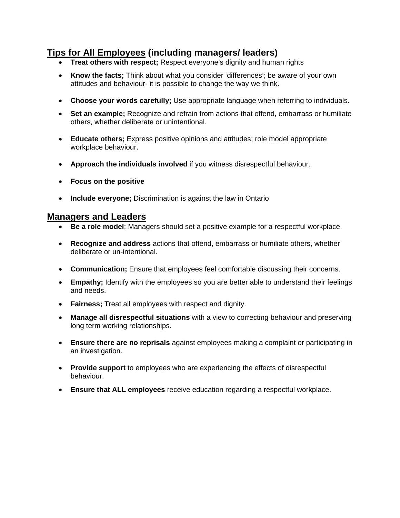# **Tips for All Employees (including managers/ leaders)**

- **Treat others with respect:** Respect everyone's dignity and human rights
- **Know the facts;** Think about what you consider 'differences'; be aware of your own attitudes and behaviour- it is possible to change the way we think.
- **Choose your words carefully;** Use appropriate language when referring to individuals.
- **Set an example;** Recognize and refrain from actions that offend, embarrass or humiliate others, whether deliberate or unintentional.
- **Educate others;** Express positive opinions and attitudes; role model appropriate workplace behaviour.
- **Approach the individuals involved** if you witness disrespectful behaviour.
- **Focus on the positive**
- **Include everyone;** Discrimination is against the law in Ontario

# **Managers and Leaders**

- **Be a role model**; Managers should set a positive example for a respectful workplace.
- **Recognize and address** actions that offend, embarrass or humiliate others, whether deliberate or un-intentional.
- **Communication;** Ensure that employees feel comfortable discussing their concerns.
- **Empathy;** Identify with the employees so you are better able to understand their feelings and needs.
- **Fairness;** Treat all employees with respect and dignity.
- **Manage all disrespectful situations** with a view to correcting behaviour and preserving long term working relationships.
- **Ensure there are no reprisals** against employees making a complaint or participating in an investigation.
- **Provide support** to employees who are experiencing the effects of disrespectful behaviour.
- **Ensure that ALL employees** receive education regarding a respectful workplace.